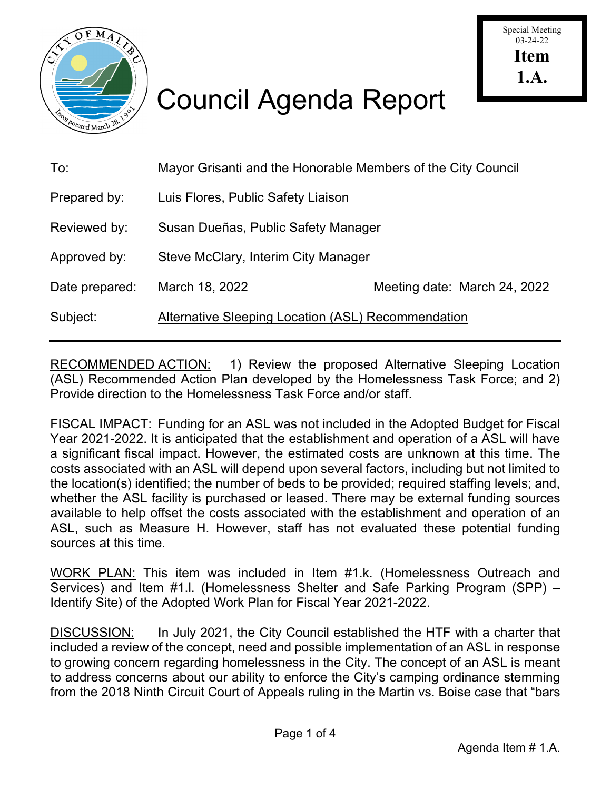

# Council Agenda Report

| To:            | Mayor Grisanti and the Honorable Members of the City Council |                              |
|----------------|--------------------------------------------------------------|------------------------------|
| Prepared by:   | Luis Flores, Public Safety Liaison                           |                              |
| Reviewed by:   | Susan Dueñas, Public Safety Manager                          |                              |
| Approved by:   | Steve McClary, Interim City Manager                          |                              |
| Date prepared: | March 18, 2022                                               | Meeting date: March 24, 2022 |
| Subject:       | Alternative Sleeping Location (ASL) Recommendation           |                              |
|                |                                                              |                              |

RECOMMENDED ACTION: 1) Review the proposed Alternative Sleeping Location (ASL) Recommended Action Plan developed by the Homelessness Task Force; and 2) Provide direction to the Homelessness Task Force and/or staff.

FISCAL IMPACT: Funding for an ASL was not included in the Adopted Budget for Fiscal Year 2021-2022. It is anticipated that the establishment and operation of a ASL will have a significant fiscal impact. However, the estimated costs are unknown at this time. The costs associated with an ASL will depend upon several factors, including but not limited to the location(s) identified; the number of beds to be provided; required staffing levels; and, whether the ASL facility is purchased or leased. There may be external funding sources available to help offset the costs associated with the establishment and operation of an ASL, such as Measure H. However, staff has not evaluated these potential funding sources at this time.

WORK PLAN: This item was included in Item #1.k. (Homelessness Outreach and Services) and Item #1.l. (Homelessness Shelter and Safe Parking Program (SPP) – Identify Site) of the Adopted Work Plan for Fiscal Year 2021-2022.

DISCUSSION: In July 2021, the City Council established the HTF with a charter that included a review of the concept, need and possible implementation of an ASL in response to growing concern regarding homelessness in the City. The concept of an ASL is meant to address concerns about our ability to enforce the City's camping ordinance stemming from the 2018 Ninth Circuit Court of Appeals ruling in the Martin vs. Boise case that "bars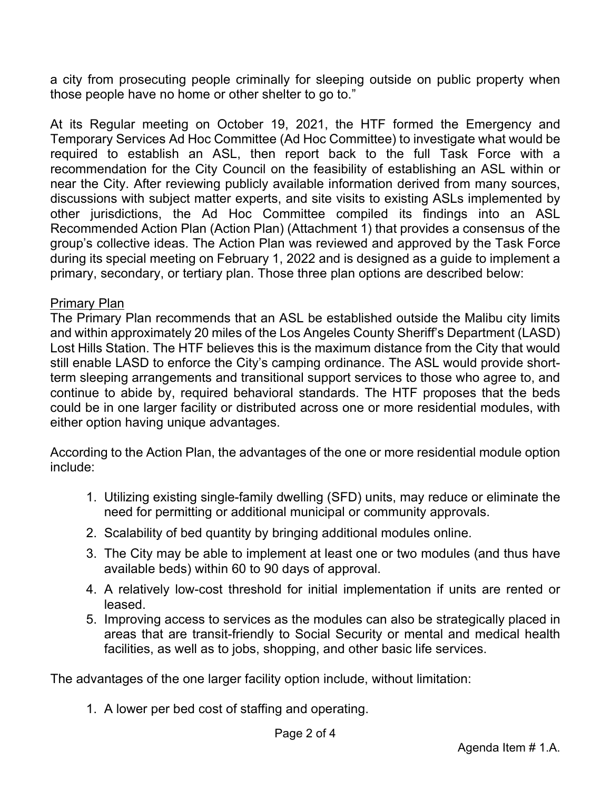a city from prosecuting people criminally for sleeping outside on public property when those people have no home or other shelter to go to."

At its Regular meeting on October 19, 2021, the HTF formed the Emergency and Temporary Services Ad Hoc Committee (Ad Hoc Committee) to investigate what would be required to establish an ASL, then report back to the full Task Force with a recommendation for the City Council on the feasibility of establishing an ASL within or near the City. After reviewing publicly available information derived from many sources, discussions with subject matter experts, and site visits to existing ASLs implemented by other jurisdictions, the Ad Hoc Committee compiled its findings into an ASL Recommended Action Plan (Action Plan) (Attachment 1) that provides a consensus of the group's collective ideas. The Action Plan was reviewed and approved by the Task Force during its special meeting on February 1, 2022 and is designed as a guide to implement a primary, secondary, or tertiary plan. Those three plan options are described below:

### Primary Plan

The Primary Plan recommends that an ASL be established outside the Malibu city limits and within approximately 20 miles of the Los Angeles County Sheriff's Department (LASD) Lost Hills Station. The HTF believes this is the maximum distance from the City that would still enable LASD to enforce the City's camping ordinance. The ASL would provide shortterm sleeping arrangements and transitional support services to those who agree to, and continue to abide by, required behavioral standards. The HTF proposes that the beds could be in one larger facility or distributed across one or more residential modules, with either option having unique advantages.

According to the Action Plan, the advantages of the one or more residential module option include:

- 1. Utilizing existing single-family dwelling (SFD) units, may reduce or eliminate the need for permitting or additional municipal or community approvals.
- 2. Scalability of bed quantity by bringing additional modules online.
- 3. The City may be able to implement at least one or two modules (and thus have available beds) within 60 to 90 days of approval.
- 4. A relatively low-cost threshold for initial implementation if units are rented or leased.
- 5. Improving access to services as the modules can also be strategically placed in areas that are transit-friendly to Social Security or mental and medical health facilities, as well as to jobs, shopping, and other basic life services.

The advantages of the one larger facility option include, without limitation:

1. A lower per bed cost of staffing and operating.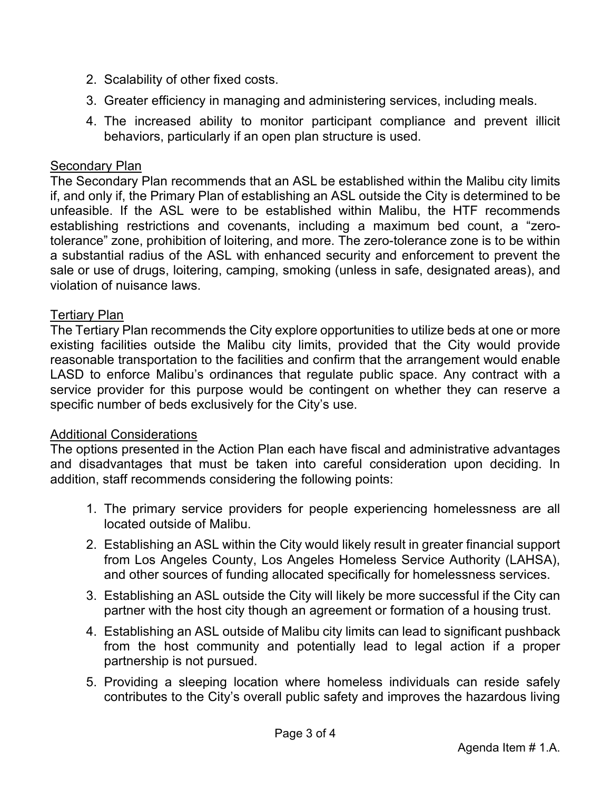- 2. Scalability of other fixed costs.
- 3. Greater efficiency in managing and administering services, including meals.
- 4. The increased ability to monitor participant compliance and prevent illicit behaviors, particularly if an open plan structure is used.

## Secondary Plan

The Secondary Plan recommends that an ASL be established within the Malibu city limits if, and only if, the Primary Plan of establishing an ASL outside the City is determined to be unfeasible. If the ASL were to be established within Malibu, the HTF recommends establishing restrictions and covenants, including a maximum bed count, a "zerotolerance" zone, prohibition of loitering, and more. The zero-tolerance zone is to be within a substantial radius of the ASL with enhanced security and enforcement to prevent the sale or use of drugs, loitering, camping, smoking (unless in safe, designated areas), and violation of nuisance laws.

## Tertiary Plan

The Tertiary Plan recommends the City explore opportunities to utilize beds at one or more existing facilities outside the Malibu city limits, provided that the City would provide reasonable transportation to the facilities and confirm that the arrangement would enable LASD to enforce Malibu's ordinances that regulate public space. Any contract with a service provider for this purpose would be contingent on whether they can reserve a specific number of beds exclusively for the City's use.

## Additional Considerations

The options presented in the Action Plan each have fiscal and administrative advantages and disadvantages that must be taken into careful consideration upon deciding. In addition, staff recommends considering the following points:

- 1. The primary service providers for people experiencing homelessness are all located outside of Malibu.
- 2. Establishing an ASL within the City would likely result in greater financial support from Los Angeles County, Los Angeles Homeless Service Authority (LAHSA), and other sources of funding allocated specifically for homelessness services.
- 3. Establishing an ASL outside the City will likely be more successful if the City can partner with the host city though an agreement or formation of a housing trust.
- 4. Establishing an ASL outside of Malibu city limits can lead to significant pushback from the host community and potentially lead to legal action if a proper partnership is not pursued.
- 5. Providing a sleeping location where homeless individuals can reside safely contributes to the City's overall public safety and improves the hazardous living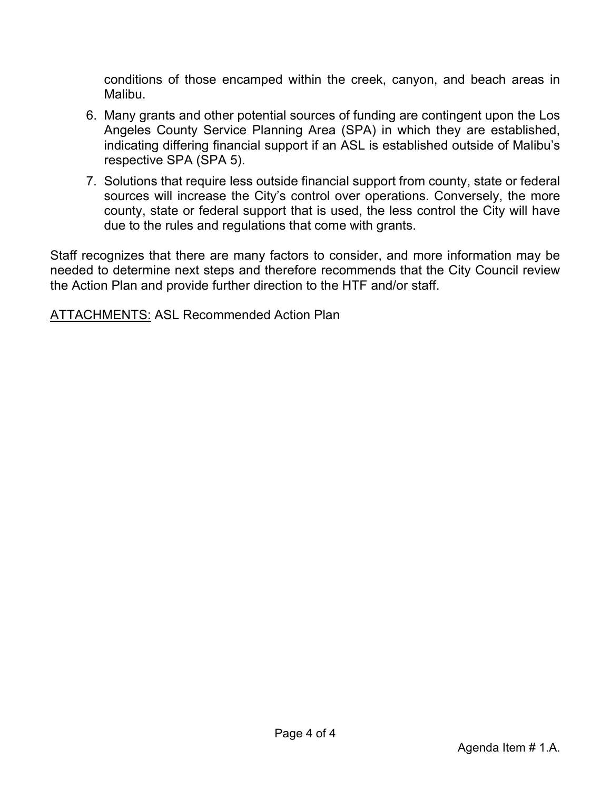conditions of those encamped within the creek, canyon, and beach areas in Malibu.

- 6. Many grants and other potential sources of funding are contingent upon the Los Angeles County Service Planning Area (SPA) in which they are established, indicating differing financial support if an ASL is established outside of Malibu's respective SPA (SPA 5).
- 7. Solutions that require less outside financial support from county, state or federal sources will increase the City's control over operations. Conversely, the more county, state or federal support that is used, the less control the City will have due to the rules and regulations that come with grants.

Staff recognizes that there are many factors to consider, and more information may be needed to determine next steps and therefore recommends that the City Council review the Action Plan and provide further direction to the HTF and/or staff.

ATTACHMENTS: ASL Recommended Action Plan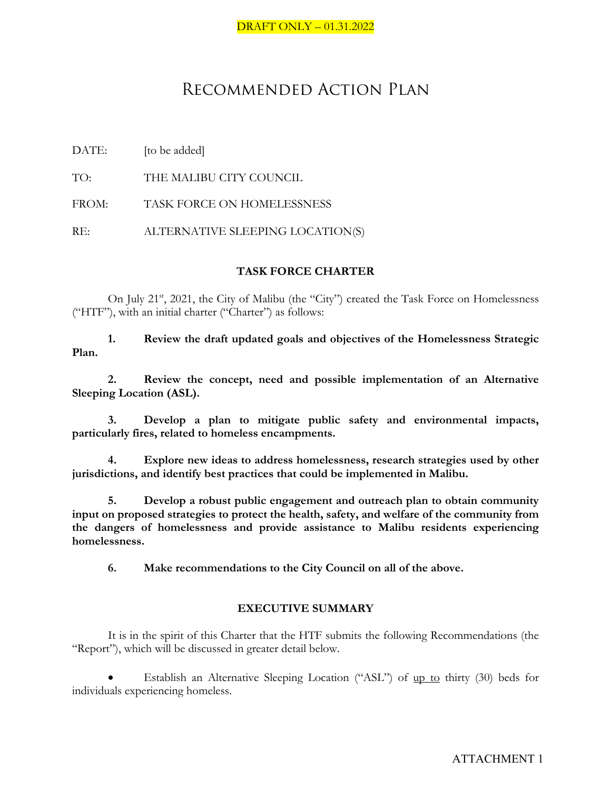## Recommended Action Plan

DATE: [to be added]

TO: THE MALIBU CITY COUNCIL

FROM: TASK FORCE ON HOMELESSNESS

RE: ALTERNATIVE SLEEPING LOCATION(S)

#### **TASK FORCE CHARTER**

On July 21<sup>st</sup>, 2021, the City of Malibu (the "City") created the Task Force on Homelessness ("HTF"), with an initial charter ("Charter") as follows:

**1. Review the draft updated goals and objectives of the Homelessness Strategic Plan.**

**2. Review the concept, need and possible implementation of an Alternative Sleeping Location (ASL).**

**3. Develop a plan to mitigate public safety and environmental impacts, particularly fires, related to homeless encampments.**

**4. Explore new ideas to address homelessness, research strategies used by other jurisdictions, and identify best practices that could be implemented in Malibu.**

**5. Develop a robust public engagement and outreach plan to obtain community input on proposed strategies to protect the health, safety, and welfare of the community from the dangers of homelessness and provide assistance to Malibu residents experiencing homelessness.**

**6. Make recommendations to the City Council on all of the above.**

#### **EXECUTIVE SUMMARY**

It is in the spirit of this Charter that the HTF submits the following Recommendations (the "Report"), which will be discussed in greater detail below.

Establish an Alternative Sleeping Location ("ASL") of up to thirty (30) beds for individuals experiencing homeless.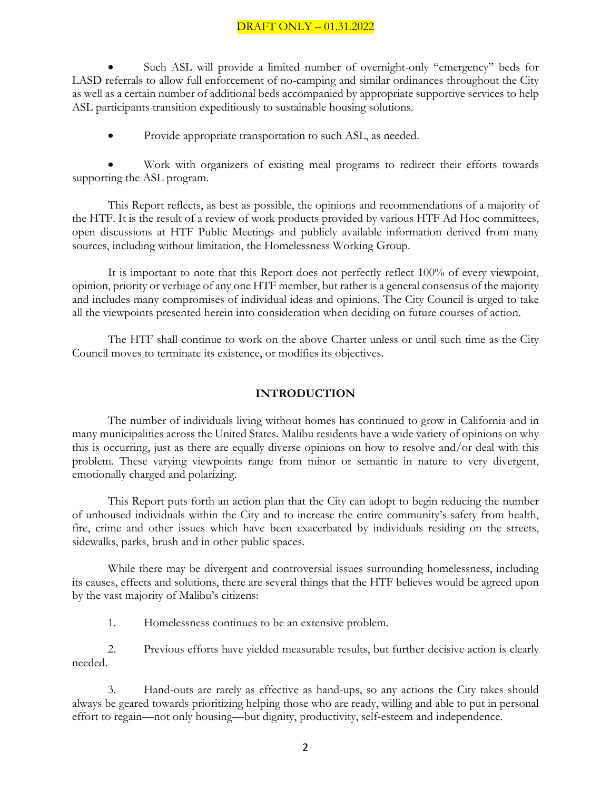Such ASL will provide a limited number of overnight-only "emergency" beds for LASD referrals to allow full enforcement of no-camping and similar ordinances throughout the City as well as a certain number of additional beds accompanied by appropriate supportive services to help ASL participants transition expeditiously to sustainable housing solutions.

• Provide appropriate transportation to such ASL, as needed.

Work with organizers of existing meal programs to redirect their efforts towards supporting the ASL program.

This Report reflects, as best as possible, the opinions and recommendations of a majority of the HTF. It is the result of a review of work products provided by various HTF Ad Hoc committees, open discussions at HTF Public Meetings and publicly available information derived from many sources, including without limitation, the Homelessness Working Group.

It is important to note that this Report does not perfectly reflect 100% of every viewpoint, opinion, priority or verbiage of any one HTF member, but rather is a general consensus of the majority and includes many compromises of individual ideas and opinions. The City Council is urged to take all the viewpoints presented herein into consideration when deciding on future courses of action.

The HTF shall continue to work on the above Charter unless or until such time as the City Council moves to terminate its existence, or modifies its objectives.

#### **INTRODUCTION**

The number of individuals living without homes has continued to grow in California and in many municipalities across the United States. Malibu residents have a wide variety of opinions on why this is occurring, just as there are equally diverse opinions on how to resolve and/or deal with this problem. These varying viewpoints range from minor or semantic in nature to very divergent, emotionally charged and polarizing.

This Report puts forth an action plan that the City can adopt to begin reducing the number of unhoused individuals within the City and to increase the entire community's safety from health, fire, crime and other issues which have been exacerbated by individuals residing on the streets, sidewalks, parks, brush and in other public spaces.

While there may be divergent and controversial issues surrounding homelessness, including its causes, effects and solutions, there are several things that the HTF believes would be agreed upon by the vast majority of Malibu's citizens:

1. Homelessness continues to be an extensive problem.

2. Previous efforts have yielded measurable results, but further decisive action is clearly needed.

3. Hand-outs are rarely as effective as hand-ups, so any actions the City takes should always be geared towards prioritizing helping those who are ready, willing and able to put in personal effort to regain—not only housing—but dignity, productivity, self-esteem and independence.

2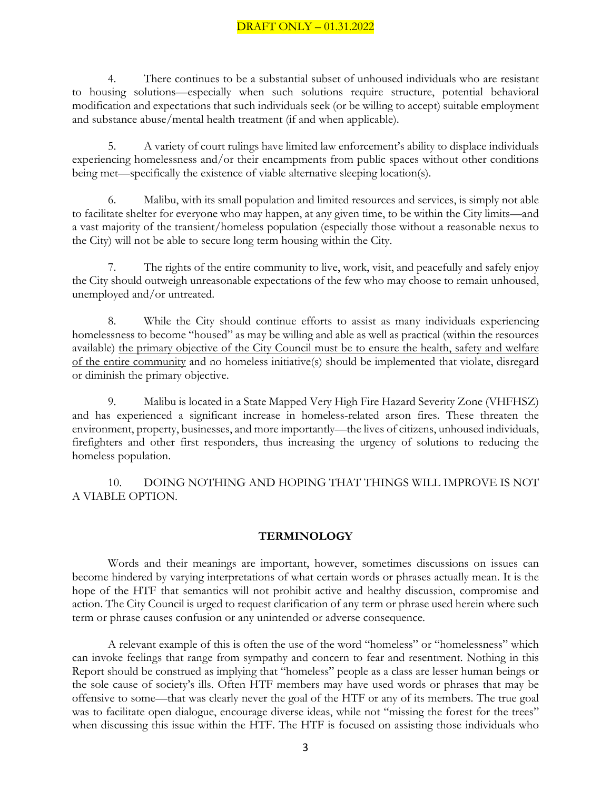4. There continues to be a substantial subset of unhoused individuals who are resistant to housing solutions—especially when such solutions require structure, potential behavioral modification and expectations that such individuals seek (or be willing to accept) suitable employment and substance abuse/mental health treatment (if and when applicable).

5. A variety of court rulings have limited law enforcement's ability to displace individuals experiencing homelessness and/or their encampments from public spaces without other conditions being met—specifically the existence of viable alternative sleeping location(s).

6. Malibu, with its small population and limited resources and services, is simply not able to facilitate shelter for everyone who may happen, at any given time, to be within the City limits—and a vast majority of the transient/homeless population (especially those without a reasonable nexus to the City) will not be able to secure long term housing within the City.

7. The rights of the entire community to live, work, visit, and peacefully and safely enjoy the City should outweigh unreasonable expectations of the few who may choose to remain unhoused, unemployed and/or untreated.

8. While the City should continue efforts to assist as many individuals experiencing homelessness to become "housed" as may be willing and able as well as practical (within the resources available) the primary objective of the City Council must be to ensure the health, safety and welfare of the entire community and no homeless initiative(s) should be implemented that violate, disregard or diminish the primary objective.

9. Malibu is located in a State Mapped Very High Fire Hazard Severity Zone (VHFHSZ) and has experienced a significant increase in homeless-related arson fires. These threaten the environment, property, businesses, and more importantly—the lives of citizens, unhoused individuals, firefighters and other first responders, thus increasing the urgency of solutions to reducing the homeless population.

10. DOING NOTHING AND HOPING THAT THINGS WILL IMPROVE IS NOT A VIABLE OPTION.

#### **TERMINOLOGY**

Words and their meanings are important, however, sometimes discussions on issues can become hindered by varying interpretations of what certain words or phrases actually mean. It is the hope of the HTF that semantics will not prohibit active and healthy discussion, compromise and action. The City Council is urged to request clarification of any term or phrase used herein where such term or phrase causes confusion or any unintended or adverse consequence.

A relevant example of this is often the use of the word "homeless" or "homelessness" which can invoke feelings that range from sympathy and concern to fear and resentment. Nothing in this Report should be construed as implying that "homeless" people as a class are lesser human beings or the sole cause of society's ills. Often HTF members may have used words or phrases that may be offensive to some—that was clearly never the goal of the HTF or any of its members. The true goal was to facilitate open dialogue, encourage diverse ideas, while not "missing the forest for the trees" when discussing this issue within the HTF. The HTF is focused on assisting those individuals who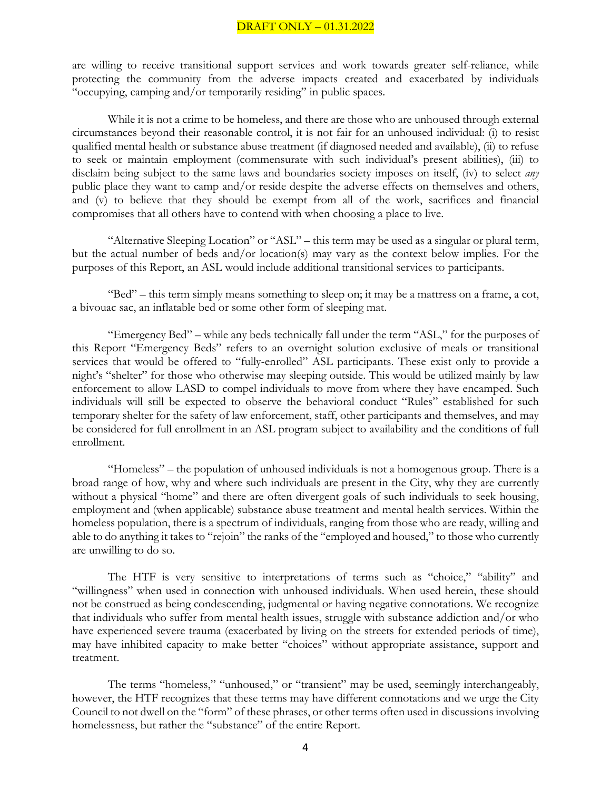are willing to receive transitional support services and work towards greater self-reliance, while protecting the community from the adverse impacts created and exacerbated by individuals "occupying, camping and/or temporarily residing" in public spaces.

While it is not a crime to be homeless, and there are those who are unhoused through external circumstances beyond their reasonable control, it is not fair for an unhoused individual: (i) to resist qualified mental health or substance abuse treatment (if diagnosed needed and available), (ii) to refuse to seek or maintain employment (commensurate with such individual's present abilities), (iii) to disclaim being subject to the same laws and boundaries society imposes on itself, (iv) to select *any* public place they want to camp and/or reside despite the adverse effects on themselves and others, and (v) to believe that they should be exempt from all of the work, sacrifices and financial compromises that all others have to contend with when choosing a place to live.

"Alternative Sleeping Location" or "ASL" – this term may be used as a singular or plural term, but the actual number of beds and/or location(s) may vary as the context below implies. For the purposes of this Report, an ASL would include additional transitional services to participants.

"Bed" – this term simply means something to sleep on; it may be a mattress on a frame, a cot, a bivouac sac, an inflatable bed or some other form of sleeping mat.

"Emergency Bed" – while any beds technically fall under the term "ASL," for the purposes of this Report "Emergency Beds" refers to an overnight solution exclusive of meals or transitional services that would be offered to "fully-enrolled" ASL participants. These exist only to provide a night's "shelter" for those who otherwise may sleeping outside. This would be utilized mainly by law enforcement to allow LASD to compel individuals to move from where they have encamped. Such individuals will still be expected to observe the behavioral conduct "Rules" established for such temporary shelter for the safety of law enforcement, staff, other participants and themselves, and may be considered for full enrollment in an ASL program subject to availability and the conditions of full enrollment.

"Homeless" – the population of unhoused individuals is not a homogenous group. There is a broad range of how, why and where such individuals are present in the City, why they are currently without a physical "home" and there are often divergent goals of such individuals to seek housing, employment and (when applicable) substance abuse treatment and mental health services. Within the homeless population, there is a spectrum of individuals, ranging from those who are ready, willing and able to do anything it takes to "rejoin" the ranks of the "employed and housed," to those who currently are unwilling to do so.

The HTF is very sensitive to interpretations of terms such as "choice," "ability" and "willingness" when used in connection with unhoused individuals. When used herein, these should not be construed as being condescending, judgmental or having negative connotations. We recognize that individuals who suffer from mental health issues, struggle with substance addiction and/or who have experienced severe trauma (exacerbated by living on the streets for extended periods of time), may have inhibited capacity to make better "choices" without appropriate assistance, support and treatment.

The terms "homeless," "unhoused," or "transient" may be used, seemingly interchangeably, however, the HTF recognizes that these terms may have different connotations and we urge the City Council to not dwell on the "form" of these phrases, or other terms often used in discussions involving homelessness, but rather the "substance" of the entire Report.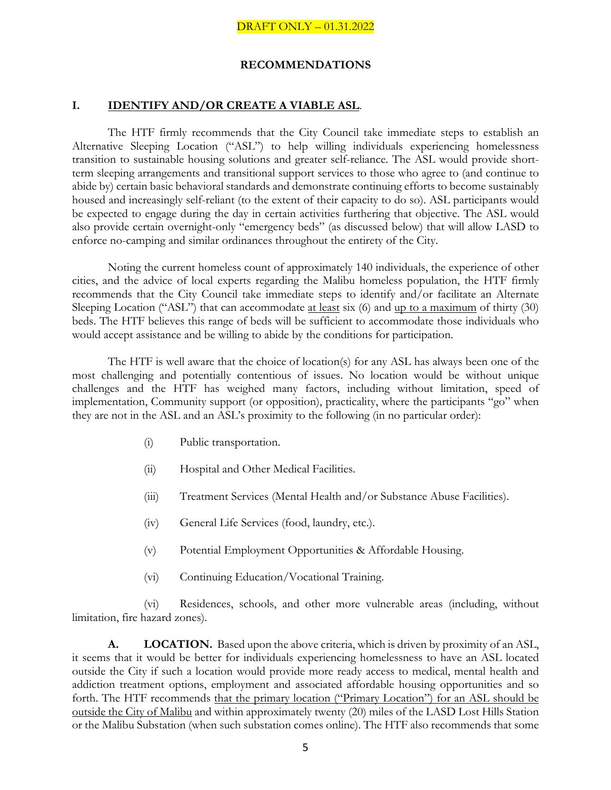#### **RECOMMENDATIONS**

#### **I. IDENTIFY AND/OR CREATE A VIABLE ASL**.

The HTF firmly recommends that the City Council take immediate steps to establish an Alternative Sleeping Location ("ASL") to help willing individuals experiencing homelessness transition to sustainable housing solutions and greater self-reliance. The ASL would provide shortterm sleeping arrangements and transitional support services to those who agree to (and continue to abide by) certain basic behavioral standards and demonstrate continuing efforts to become sustainably housed and increasingly self-reliant (to the extent of their capacity to do so). ASL participants would be expected to engage during the day in certain activities furthering that objective. The ASL would also provide certain overnight-only "emergency beds" (as discussed below) that will allow LASD to enforce no-camping and similar ordinances throughout the entirety of the City.

Noting the current homeless count of approximately 140 individuals, the experience of other cities, and the advice of local experts regarding the Malibu homeless population, the HTF firmly recommends that the City Council take immediate steps to identify and/or facilitate an Alternate Sleeping Location ("ASL") that can accommodate <u>at least</u> six (6) and <u>up to a maximum</u> of thirty (30) beds. The HTF believes this range of beds will be sufficient to accommodate those individuals who would accept assistance and be willing to abide by the conditions for participation.

The HTF is well aware that the choice of location(s) for any ASL has always been one of the most challenging and potentially contentious of issues. No location would be without unique challenges and the HTF has weighed many factors, including without limitation, speed of implementation, Community support (or opposition), practicality, where the participants "go" when they are not in the ASL and an ASL's proximity to the following (in no particular order):

- (i) Public transportation.
- (ii) Hospital and Other Medical Facilities.
- (iii) Treatment Services (Mental Health and/or Substance Abuse Facilities).
- (iv) General Life Services (food, laundry, etc.).
- (v) Potential Employment Opportunities & Affordable Housing.
- (vi) Continuing Education/Vocational Training.

(vi) Residences, schools, and other more vulnerable areas (including, without limitation, fire hazard zones).

**A. LOCATION.** Based upon the above criteria, which is driven by proximity of an ASL, it seems that it would be better for individuals experiencing homelessness to have an ASL located outside the City if such a location would provide more ready access to medical, mental health and addiction treatment options, employment and associated affordable housing opportunities and so forth. The HTF recommends that the primary location ("Primary Location") for an ASL should be outside the City of Malibu and within approximately twenty (20) miles of the LASD Lost Hills Station or the Malibu Substation (when such substation comes online). The HTF also recommends that some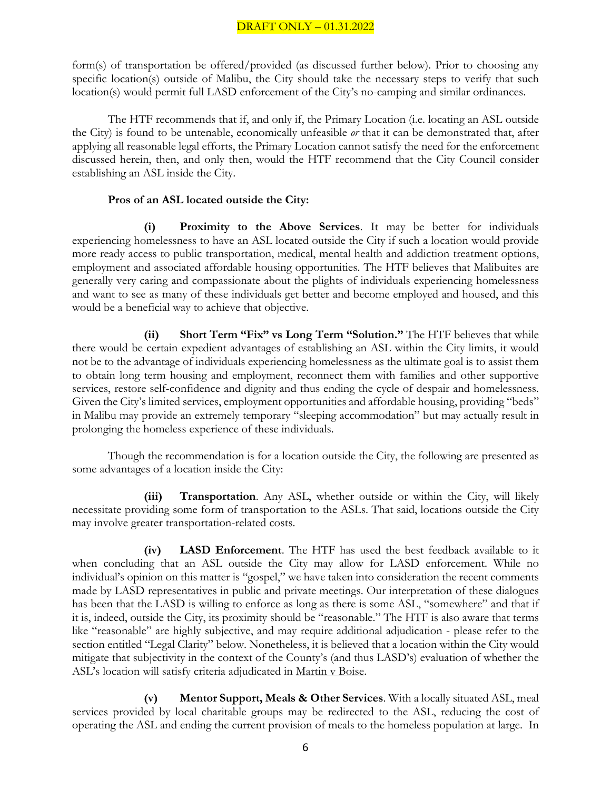form(s) of transportation be offered/provided (as discussed further below). Prior to choosing any specific location(s) outside of Malibu, the City should take the necessary steps to verify that such location(s) would permit full LASD enforcement of the City's no-camping and similar ordinances.

The HTF recommends that if, and only if, the Primary Location (i.e. locating an ASL outside the City) is found to be untenable, economically unfeasible *or* that it can be demonstrated that, after applying all reasonable legal efforts, the Primary Location cannot satisfy the need for the enforcement discussed herein, then, and only then, would the HTF recommend that the City Council consider establishing an ASL inside the City.

#### **Pros of an ASL located outside the City:**

**(i) Proximity to the Above Services**. It may be better for individuals experiencing homelessness to have an ASL located outside the City if such a location would provide more ready access to public transportation, medical, mental health and addiction treatment options, employment and associated affordable housing opportunities. The HTF believes that Malibuites are generally very caring and compassionate about the plights of individuals experiencing homelessness and want to see as many of these individuals get better and become employed and housed, and this would be a beneficial way to achieve that objective.

**(ii) Short Term "Fix" vs Long Term "Solution."** The HTF believes that while there would be certain expedient advantages of establishing an ASL within the City limits, it would not be to the advantage of individuals experiencing homelessness as the ultimate goal is to assist them to obtain long term housing and employment, reconnect them with families and other supportive services, restore self-confidence and dignity and thus ending the cycle of despair and homelessness. Given the City's limited services, employment opportunities and affordable housing, providing "beds" in Malibu may provide an extremely temporary "sleeping accommodation" but may actually result in prolonging the homeless experience of these individuals.

Though the recommendation is for a location outside the City, the following are presented as some advantages of a location inside the City:

**(iii) Transportation**. Any ASL, whether outside or within the City, will likely necessitate providing some form of transportation to the ASLs. That said, locations outside the City may involve greater transportation-related costs.

**(iv) LASD Enforcement**. The HTF has used the best feedback available to it when concluding that an ASL outside the City may allow for LASD enforcement. While no individual's opinion on this matter is "gospel," we have taken into consideration the recent comments made by LASD representatives in public and private meetings. Our interpretation of these dialogues has been that the LASD is willing to enforce as long as there is some ASL, "somewhere" and that if it is, indeed, outside the City, its proximity should be "reasonable." The HTF is also aware that terms like "reasonable" are highly subjective, and may require additional adjudication - please refer to the section entitled "Legal Clarity" below. Nonetheless, it is believed that a location within the City would mitigate that subjectivity in the context of the County's (and thus LASD's) evaluation of whether the ASL's location will satisfy criteria adjudicated in Martin v Boise.

**(v) Mentor Support, Meals & Other Services**. With a locally situated ASL, meal services provided by local charitable groups may be redirected to the ASL, reducing the cost of operating the ASL and ending the current provision of meals to the homeless population at large. In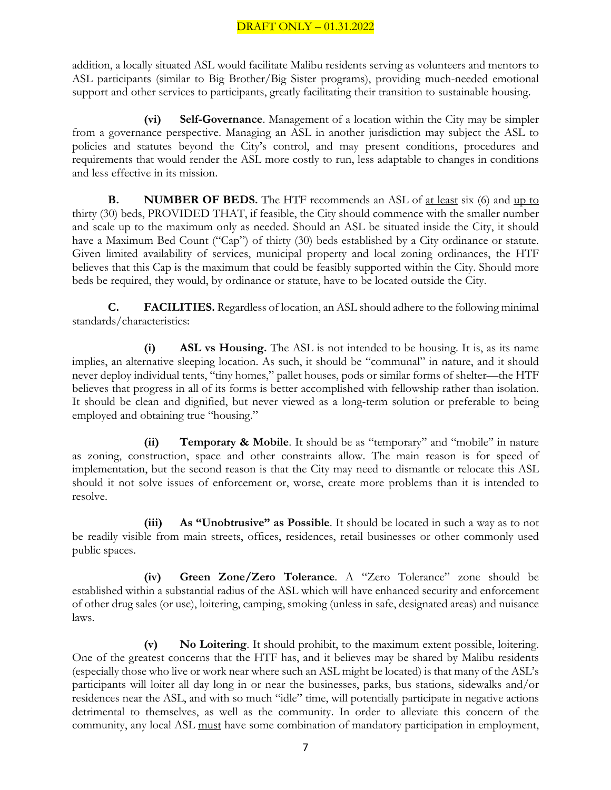addition, a locally situated ASL would facilitate Malibu residents serving as volunteers and mentors to ASL participants (similar to Big Brother/Big Sister programs), providing much-needed emotional support and other services to participants, greatly facilitating their transition to sustainable housing.

**(vi) Self-Governance**. Management of a location within the City may be simpler from a governance perspective. Managing an ASL in another jurisdiction may subject the ASL to policies and statutes beyond the City's control, and may present conditions, procedures and requirements that would render the ASL more costly to run, less adaptable to changes in conditions and less effective in its mission.

**B. NUMBER OF BEDS.** The HTF recommends an ASL of <u>at least</u> six (6) and up to thirty (30) beds, PROVIDED THAT, if feasible, the City should commence with the smaller number and scale up to the maximum only as needed. Should an ASL be situated inside the City, it should have a Maximum Bed Count ("Cap") of thirty (30) beds established by a City ordinance or statute. Given limited availability of services, municipal property and local zoning ordinances, the HTF believes that this Cap is the maximum that could be feasibly supported within the City. Should more beds be required, they would, by ordinance or statute, have to be located outside the City.

**C. FACILITIES.** Regardless of location, an ASL should adhere to the following minimal standards/characteristics:

**(i) ASL vs Housing.** The ASL is not intended to be housing. It is, as its name implies, an alternative sleeping location. As such, it should be "communal" in nature, and it should never deploy individual tents, "tiny homes," pallet houses, pods or similar forms of shelter—the HTF believes that progress in all of its forms is better accomplished with fellowship rather than isolation. It should be clean and dignified, but never viewed as a long-term solution or preferable to being employed and obtaining true "housing."

**(ii) Temporary & Mobile**. It should be as "temporary" and "mobile" in nature as zoning, construction, space and other constraints allow. The main reason is for speed of implementation, but the second reason is that the City may need to dismantle or relocate this ASL should it not solve issues of enforcement or, worse, create more problems than it is intended to resolve.

**(iii) As "Unobtrusive" as Possible**. It should be located in such a way as to not be readily visible from main streets, offices, residences, retail businesses or other commonly used public spaces.

**(iv) Green Zone/Zero Tolerance**. A "Zero Tolerance" zone should be established within a substantial radius of the ASL which will have enhanced security and enforcement of other drug sales (or use), loitering, camping, smoking (unless in safe, designated areas) and nuisance laws.

**(v) No Loitering**. It should prohibit, to the maximum extent possible, loitering. One of the greatest concerns that the HTF has, and it believes may be shared by Malibu residents (especially those who live or work near where such an ASL might be located) is that many of the ASL's participants will loiter all day long in or near the businesses, parks, bus stations, sidewalks and/or residences near the ASL, and with so much "idle" time, will potentially participate in negative actions detrimental to themselves, as well as the community. In order to alleviate this concern of the community, any local ASL must have some combination of mandatory participation in employment,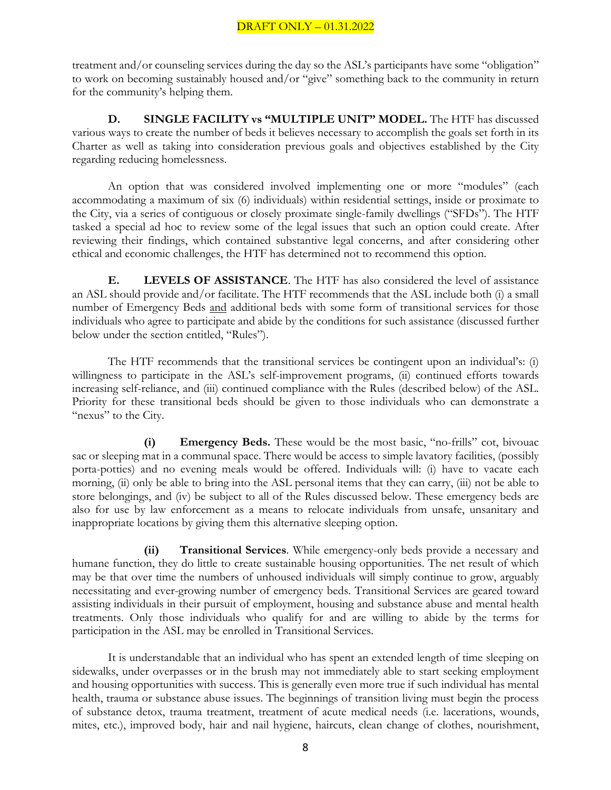treatment and/or counseling services during the day so the ASL's participants have some "obligation" to work on becoming sustainably housed and/or "give" something back to the community in return for the community's helping them.

**D. SINGLE FACILITY vs "MULTIPLE UNIT" MODEL.** The HTF has discussed various ways to create the number of beds it believes necessary to accomplish the goals set forth in its Charter as well as taking into consideration previous goals and objectives established by the City regarding reducing homelessness.

An option that was considered involved implementing one or more "modules" (each accommodating a maximum of six (6) individuals) within residential settings, inside or proximate to the City, via a series of contiguous or closely proximate single-family dwellings ("SFDs"). The HTF tasked a special ad hoc to review some of the legal issues that such an option could create. After reviewing their findings, which contained substantive legal concerns, and after considering other ethical and economic challenges, the HTF has determined not to recommend this option.

**E. LEVELS OF ASSISTANCE**. The HTF has also considered the level of assistance an ASL should provide and/or facilitate. The HTF recommends that the ASL include both (i) a small number of Emergency Beds and additional beds with some form of transitional services for those individuals who agree to participate and abide by the conditions for such assistance (discussed further below under the section entitled, "Rules").

The HTF recommends that the transitional services be contingent upon an individual's: (i) willingness to participate in the ASL's self-improvement programs, (ii) continued efforts towards increasing self-reliance, and (iii) continued compliance with the Rules (described below) of the ASL. Priority for these transitional beds should be given to those individuals who can demonstrate a "nexus" to the City.

**(i) Emergency Beds.** These would be the most basic, "no-frills" cot, bivouac sac or sleeping mat in a communal space. There would be access to simple lavatory facilities, (possibly porta-potties) and no evening meals would be offered. Individuals will: (i) have to vacate each morning, (ii) only be able to bring into the ASL personal items that they can carry, (iii) not be able to store belongings, and (iv) be subject to all of the Rules discussed below. These emergency beds are also for use by law enforcement as a means to relocate individuals from unsafe, unsanitary and inappropriate locations by giving them this alternative sleeping option.

**(ii) Transitional Services**. While emergency-only beds provide a necessary and humane function, they do little to create sustainable housing opportunities. The net result of which may be that over time the numbers of unhoused individuals will simply continue to grow, arguably necessitating and ever-growing number of emergency beds. Transitional Services are geared toward assisting individuals in their pursuit of employment, housing and substance abuse and mental health treatments. Only those individuals who qualify for and are willing to abide by the terms for participation in the ASL may be enrolled in Transitional Services.

It is understandable that an individual who has spent an extended length of time sleeping on sidewalks, under overpasses or in the brush may not immediately able to start seeking employment and housing opportunities with success. This is generally even more true if such individual has mental health, trauma or substance abuse issues. The beginnings of transition living must begin the process of substance detox, trauma treatment, treatment of acute medical needs (i.e. lacerations, wounds, mites, etc.), improved body, hair and nail hygiene, haircuts, clean change of clothes, nourishment,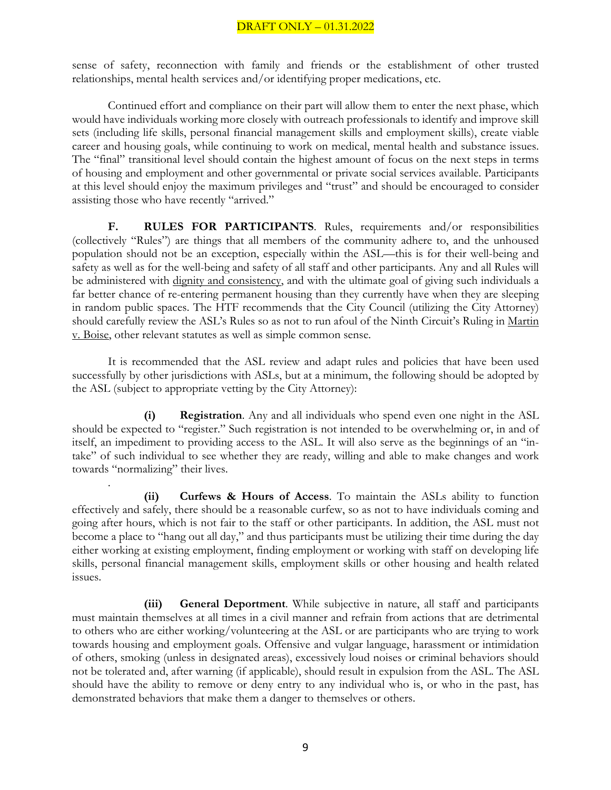sense of safety, reconnection with family and friends or the establishment of other trusted relationships, mental health services and/or identifying proper medications, etc.

Continued effort and compliance on their part will allow them to enter the next phase, which would have individuals working more closely with outreach professionals to identify and improve skill sets (including life skills, personal financial management skills and employment skills), create viable career and housing goals, while continuing to work on medical, mental health and substance issues. The "final" transitional level should contain the highest amount of focus on the next steps in terms of housing and employment and other governmental or private social services available. Participants at this level should enjoy the maximum privileges and "trust" and should be encouraged to consider assisting those who have recently "arrived."

**F. RULES FOR PARTICIPANTS**. Rules, requirements and/or responsibilities (collectively "Rules") are things that all members of the community adhere to, and the unhoused population should not be an exception, especially within the ASL—this is for their well-being and safety as well as for the well-being and safety of all staff and other participants. Any and all Rules will be administered with dignity and consistency, and with the ultimate goal of giving such individuals a far better chance of re-entering permanent housing than they currently have when they are sleeping in random public spaces. The HTF recommends that the City Council (utilizing the City Attorney) should carefully review the ASL's Rules so as not to run afoul of the Ninth Circuit's Ruling in Martin v. Boise, other relevant statutes as well as simple common sense.

It is recommended that the ASL review and adapt rules and policies that have been used successfully by other jurisdictions with ASLs, but at a minimum, the following should be adopted by the ASL (subject to appropriate vetting by the City Attorney):

**(i) Registration**. Any and all individuals who spend even one night in the ASL should be expected to "register." Such registration is not intended to be overwhelming or, in and of itself, an impediment to providing access to the ASL. It will also serve as the beginnings of an "intake" of such individual to see whether they are ready, willing and able to make changes and work towards "normalizing" their lives.

. **(ii) Curfews & Hours of Access**. To maintain the ASLs ability to function effectively and safely, there should be a reasonable curfew, so as not to have individuals coming and going after hours, which is not fair to the staff or other participants. In addition, the ASL must not become a place to "hang out all day," and thus participants must be utilizing their time during the day either working at existing employment, finding employment or working with staff on developing life skills, personal financial management skills, employment skills or other housing and health related issues.

**(iii) General Deportment**. While subjective in nature, all staff and participants must maintain themselves at all times in a civil manner and refrain from actions that are detrimental to others who are either working/volunteering at the ASL or are participants who are trying to work towards housing and employment goals. Offensive and vulgar language, harassment or intimidation of others, smoking (unless in designated areas), excessively loud noises or criminal behaviors should not be tolerated and, after warning (if applicable), should result in expulsion from the ASL. The ASL should have the ability to remove or deny entry to any individual who is, or who in the past, has demonstrated behaviors that make them a danger to themselves or others.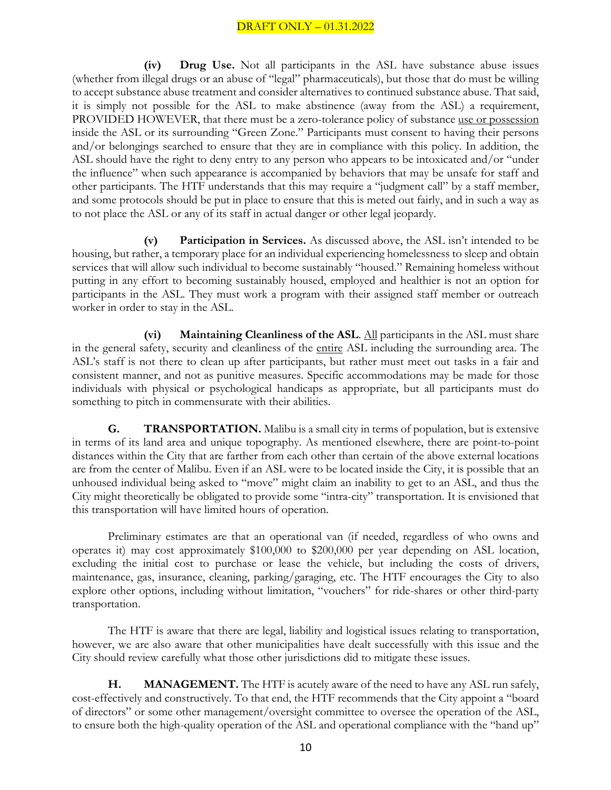**(iv) Drug Use.** Not all participants in the ASL have substance abuse issues (whether from illegal drugs or an abuse of "legal" pharmaceuticals), but those that do must be willing to accept substance abuse treatment and consider alternatives to continued substance abuse. That said, it is simply not possible for the ASL to make abstinence (away from the ASL) a requirement, PROVIDED HOWEVER, that there must be a zero-tolerance policy of substance use or possession inside the ASL or its surrounding "Green Zone." Participants must consent to having their persons and/or belongings searched to ensure that they are in compliance with this policy. In addition, the ASL should have the right to deny entry to any person who appears to be intoxicated and/or "under the influence" when such appearance is accompanied by behaviors that may be unsafe for staff and other participants. The HTF understands that this may require a "judgment call" by a staff member, and some protocols should be put in place to ensure that this is meted out fairly, and in such a way as to not place the ASL or any of its staff in actual danger or other legal jeopardy.

**(v) Participation in Services.** As discussed above, the ASL isn't intended to be housing, but rather, a temporary place for an individual experiencing homelessness to sleep and obtain services that will allow such individual to become sustainably "housed." Remaining homeless without putting in any effort to becoming sustainably housed, employed and healthier is not an option for participants in the ASL. They must work a program with their assigned staff member or outreach worker in order to stay in the ASL.

**(vi) Maintaining Cleanliness of the ASL**. All participants in the ASL must share in the general safety, security and cleanliness of the entire ASL including the surrounding area. The ASL's staff is not there to clean up after participants, but rather must meet out tasks in a fair and consistent manner, and not as punitive measures. Specific accommodations may be made for those individuals with physical or psychological handicaps as appropriate, but all participants must do something to pitch in commensurate with their abilities.

**G. TRANSPORTATION.** Malibu is a small city in terms of population, but is extensive in terms of its land area and unique topography. As mentioned elsewhere, there are point-to-point distances within the City that are farther from each other than certain of the above external locations are from the center of Malibu. Even if an ASL were to be located inside the City, it is possible that an unhoused individual being asked to "move" might claim an inability to get to an ASL, and thus the City might theoretically be obligated to provide some "intra-city" transportation. It is envisioned that this transportation will have limited hours of operation.

Preliminary estimates are that an operational van (if needed, regardless of who owns and operates it) may cost approximately \$100,000 to \$200,000 per year depending on ASL location, excluding the initial cost to purchase or lease the vehicle, but including the costs of drivers, maintenance, gas, insurance, cleaning, parking/garaging, etc. The HTF encourages the City to also explore other options, including without limitation, "vouchers" for ride-shares or other third-party transportation.

The HTF is aware that there are legal, liability and logistical issues relating to transportation, however, we are also aware that other municipalities have dealt successfully with this issue and the City should review carefully what those other jurisdictions did to mitigate these issues.

**H. MANAGEMENT.** The HTF is acutely aware of the need to have any ASL run safely, cost-effectively and constructively. To that end, the HTF recommends that the City appoint a "board of directors" or some other management/oversight committee to oversee the operation of the ASL, to ensure both the high-quality operation of the ASL and operational compliance with the "hand up"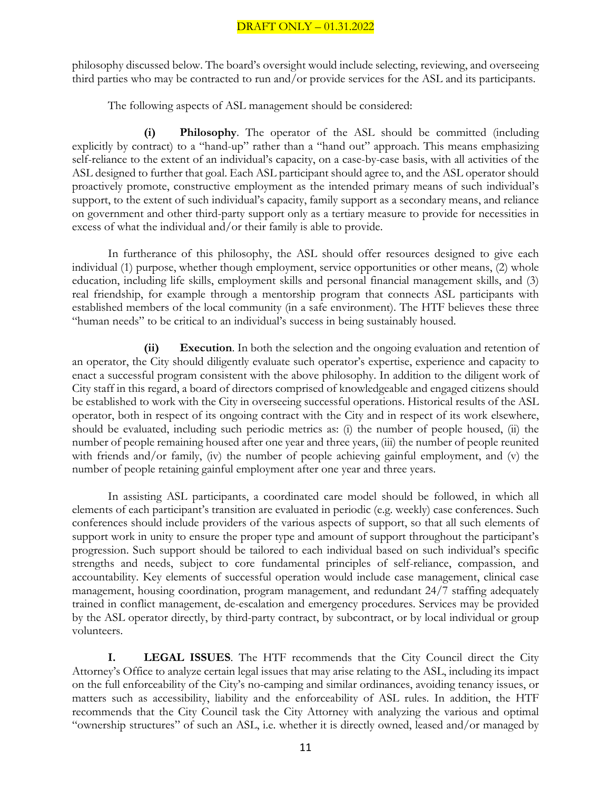philosophy discussed below. The board's oversight would include selecting, reviewing, and overseeing third parties who may be contracted to run and/or provide services for the ASL and its participants.

The following aspects of ASL management should be considered:

**(i) Philosophy**. The operator of the ASL should be committed (including explicitly by contract) to a "hand-up" rather than a "hand out" approach. This means emphasizing self-reliance to the extent of an individual's capacity, on a case-by-case basis, with all activities of the ASL designed to further that goal. Each ASL participant should agree to, and the ASL operator should proactively promote, constructive employment as the intended primary means of such individual's support, to the extent of such individual's capacity, family support as a secondary means, and reliance on government and other third-party support only as a tertiary measure to provide for necessities in excess of what the individual and/or their family is able to provide.

In furtherance of this philosophy, the ASL should offer resources designed to give each individual (1) purpose, whether though employment, service opportunities or other means, (2) whole education, including life skills, employment skills and personal financial management skills, and (3) real friendship, for example through a mentorship program that connects ASL participants with established members of the local community (in a safe environment). The HTF believes these three "human needs" to be critical to an individual's success in being sustainably housed.

**(ii) Execution**. In both the selection and the ongoing evaluation and retention of an operator, the City should diligently evaluate such operator's expertise, experience and capacity to enact a successful program consistent with the above philosophy. In addition to the diligent work of City staff in this regard, a board of directors comprised of knowledgeable and engaged citizens should be established to work with the City in overseeing successful operations. Historical results of the ASL operator, both in respect of its ongoing contract with the City and in respect of its work elsewhere, should be evaluated, including such periodic metrics as: (i) the number of people housed, (ii) the number of people remaining housed after one year and three years, (iii) the number of people reunited with friends and/or family, (iv) the number of people achieving gainful employment, and (v) the number of people retaining gainful employment after one year and three years.

In assisting ASL participants, a coordinated care model should be followed, in which all elements of each participant's transition are evaluated in periodic (e.g. weekly) case conferences. Such conferences should include providers of the various aspects of support, so that all such elements of support work in unity to ensure the proper type and amount of support throughout the participant's progression. Such support should be tailored to each individual based on such individual's specific strengths and needs, subject to core fundamental principles of self-reliance, compassion, and accountability. Key elements of successful operation would include case management, clinical case management, housing coordination, program management, and redundant 24/7 staffing adequately trained in conflict management, de-escalation and emergency procedures. Services may be provided by the ASL operator directly, by third-party contract, by subcontract, or by local individual or group volunteers.

**I. LEGAL ISSUES**. The HTF recommends that the City Council direct the City Attorney's Office to analyze certain legal issues that may arise relating to the ASL, including its impact on the full enforceability of the City's no-camping and similar ordinances, avoiding tenancy issues, or matters such as accessibility, liability and the enforceability of ASL rules. In addition, the HTF recommends that the City Council task the City Attorney with analyzing the various and optimal "ownership structures" of such an ASL, i.e. whether it is directly owned, leased and/or managed by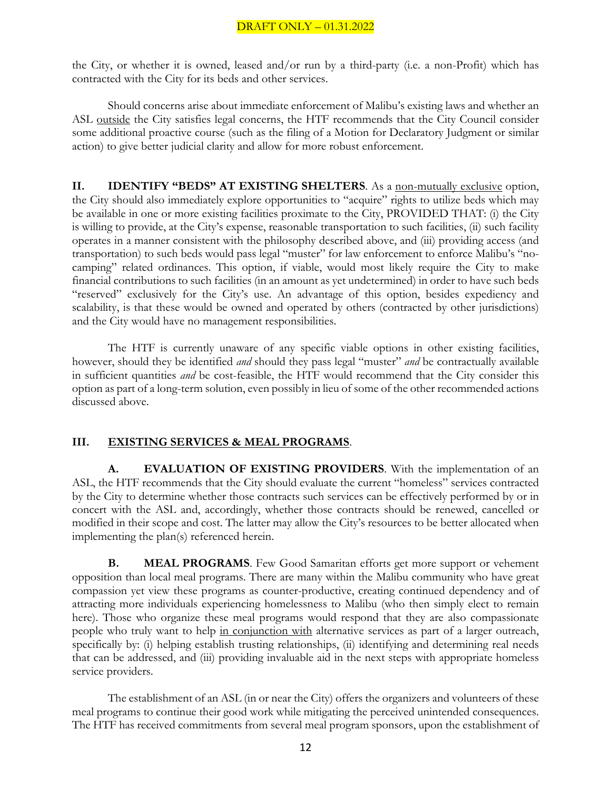the City, or whether it is owned, leased and/or run by a third-party (i.e. a non-Profit) which has contracted with the City for its beds and other services.

Should concerns arise about immediate enforcement of Malibu's existing laws and whether an ASL outside the City satisfies legal concerns, the HTF recommends that the City Council consider some additional proactive course (such as the filing of a Motion for Declaratory Judgment or similar action) to give better judicial clarity and allow for more robust enforcement.

**II. IDENTIFY "BEDS" AT EXISTING SHELTERS**. As a non-mutually exclusive option, the City should also immediately explore opportunities to "acquire" rights to utilize beds which may be available in one or more existing facilities proximate to the City, PROVIDED THAT: (i) the City is willing to provide, at the City's expense, reasonable transportation to such facilities, (ii) such facility operates in a manner consistent with the philosophy described above, and (iii) providing access (and transportation) to such beds would pass legal "muster" for law enforcement to enforce Malibu's "nocamping" related ordinances. This option, if viable, would most likely require the City to make financial contributions to such facilities (in an amount as yet undetermined) in order to have such beds "reserved" exclusively for the City's use. An advantage of this option, besides expediency and scalability, is that these would be owned and operated by others (contracted by other jurisdictions) and the City would have no management responsibilities.

The HTF is currently unaware of any specific viable options in other existing facilities, however, should they be identified *and* should they pass legal "muster" *and* be contractually available in sufficient quantities *and* be cost-feasible, the HTF would recommend that the City consider this option as part of a long-term solution, even possibly in lieu of some of the other recommended actions discussed above.

#### **III. EXISTING SERVICES & MEAL PROGRAMS**.

**A. EVALUATION OF EXISTING PROVIDERS**. With the implementation of an ASL, the HTF recommends that the City should evaluate the current "homeless" services contracted by the City to determine whether those contracts such services can be effectively performed by or in concert with the ASL and, accordingly, whether those contracts should be renewed, cancelled or modified in their scope and cost. The latter may allow the City's resources to be better allocated when implementing the plan(s) referenced herein.

**B. MEAL PROGRAMS**. Few Good Samaritan efforts get more support or vehement opposition than local meal programs. There are many within the Malibu community who have great compassion yet view these programs as counter-productive, creating continued dependency and of attracting more individuals experiencing homelessness to Malibu (who then simply elect to remain here). Those who organize these meal programs would respond that they are also compassionate people who truly want to help in conjunction with alternative services as part of a larger outreach, specifically by: (i) helping establish trusting relationships, (ii) identifying and determining real needs that can be addressed, and (iii) providing invaluable aid in the next steps with appropriate homeless service providers.

The establishment of an ASL (in or near the City) offers the organizers and volunteers of these meal programs to continue their good work while mitigating the perceived unintended consequences. The HTF has received commitments from several meal program sponsors, upon the establishment of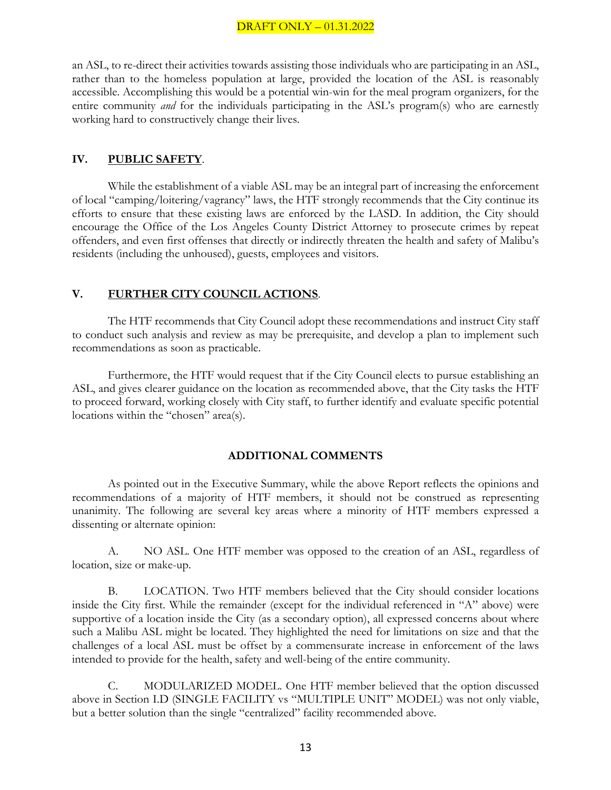an ASL, to re-direct their activities towards assisting those individuals who are participating in an ASL, rather than to the homeless population at large, provided the location of the ASL is reasonably accessible. Accomplishing this would be a potential win-win for the meal program organizers, for the entire community *and* for the individuals participating in the ASL's program(s) who are earnestly working hard to constructively change their lives.

#### **IV. PUBLIC SAFETY**.

While the establishment of a viable ASL may be an integral part of increasing the enforcement of local "camping/loitering/vagrancy" laws, the HTF strongly recommends that the City continue its efforts to ensure that these existing laws are enforced by the LASD. In addition, the City should encourage the Office of the Los Angeles County District Attorney to prosecute crimes by repeat offenders, and even first offenses that directly or indirectly threaten the health and safety of Malibu's residents (including the unhoused), guests, employees and visitors.

#### **V. FURTHER CITY COUNCIL ACTIONS**.

The HTF recommends that City Council adopt these recommendations and instruct City staff to conduct such analysis and review as may be prerequisite, and develop a plan to implement such recommendations as soon as practicable.

Furthermore, the HTF would request that if the City Council elects to pursue establishing an ASL, and gives clearer guidance on the location as recommended above, that the City tasks the HTF to proceed forward, working closely with City staff, to further identify and evaluate specific potential locations within the "chosen" area(s).

#### **ADDITIONAL COMMENTS**

As pointed out in the Executive Summary, while the above Report reflects the opinions and recommendations of a majority of HTF members, it should not be construed as representing unanimity. The following are several key areas where a minority of HTF members expressed a dissenting or alternate opinion:

A. NO ASL. One HTF member was opposed to the creation of an ASL, regardless of location, size or make-up.

B. LOCATION. Two HTF members believed that the City should consider locations inside the City first. While the remainder (except for the individual referenced in "A" above) were supportive of a location inside the City (as a secondary option), all expressed concerns about where such a Malibu ASL might be located. They highlighted the need for limitations on size and that the challenges of a local ASL must be offset by a commensurate increase in enforcement of the laws intended to provide for the health, safety and well-being of the entire community.

C. MODULARIZED MODEL. One HTF member believed that the option discussed above in Section I.D (SINGLE FACILITY vs "MULTIPLE UNIT" MODEL) was not only viable, but a better solution than the single "centralized" facility recommended above.